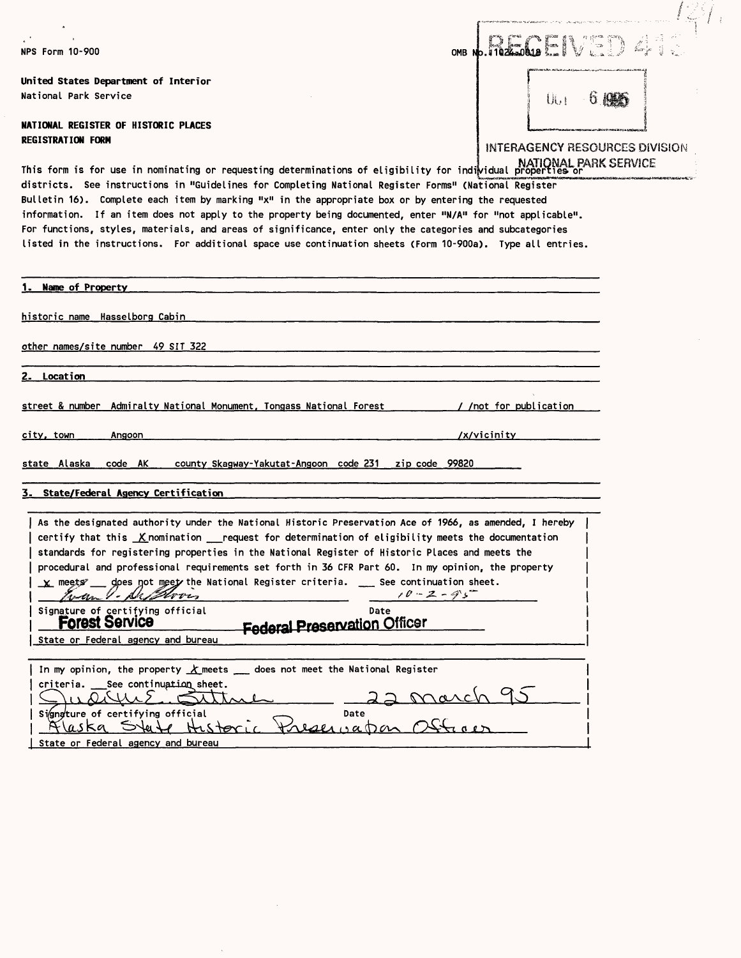| <b>NPS Form 10-900</b>                                                                                                               | <b>DEGENT!</b>                 |
|--------------------------------------------------------------------------------------------------------------------------------------|--------------------------------|
|                                                                                                                                      |                                |
| United States Department of Interior                                                                                                 |                                |
| National Park Service                                                                                                                | UG E                           |
|                                                                                                                                      |                                |
| NATIONAL REGISTER OF HISTORIC PLACES                                                                                                 |                                |
| <b>REGISTRATION FORM</b>                                                                                                             |                                |
|                                                                                                                                      | INTERAGENCY RESOURCES DIVISION |
| NATIONAL PARK SERVICE<br>This form is for use in nominating or requesting determinations of eligibility for individual properties or |                                |
| districts. See instructions in "Guidelines for Completing National Register Forms" (National Register                                |                                |
| Bulletin 16). Complete each item by marking "x" in the appropriate box or by entering the requested                                  |                                |
| information. If an item does not apply to the property being documented, enter "N/A" for "not applicable".                           |                                |
| For functions, styles, materials, and areas of significance, enter only the categories and subcategories                             |                                |
| listed in the instructions. For additional space use continuation sheets (Form 10-900a). Type all entries.                           |                                |
|                                                                                                                                      |                                |
|                                                                                                                                      |                                |
|                                                                                                                                      |                                |
| 1. Name of Property                                                                                                                  |                                |
|                                                                                                                                      |                                |
| historic name Hasselborg Cabin                                                                                                       |                                |
|                                                                                                                                      |                                |
| other names/site number 49 SIT 322                                                                                                   |                                |
|                                                                                                                                      |                                |
| 2. Location                                                                                                                          |                                |
|                                                                                                                                      |                                |
| street & number Admiralty National Monument, Tongass National Forest                                                                 | / /not for publication         |
|                                                                                                                                      |                                |
| <u>city, town</u><br>Angoon                                                                                                          | /x/vicinity_                   |
|                                                                                                                                      |                                |
| county Skagway-Yakutat-Angoon code 231 zip code 99820<br><u>state Alaska code AK </u>                                                |                                |
|                                                                                                                                      |                                |
| 3. State/Federal Agency Certification                                                                                                |                                |
|                                                                                                                                      |                                |
| As the designated authority under the National Historic Preservation Ace of 1966, as amended, I hereby                               |                                |
| certify that this $\chi$ nomination request for determination of eligibility meets the documentation                                 |                                |
| standards for registering properties in the National Register of Historic Places and meets the                                       |                                |
| procedural and professional requirements set forth in 36 CFR Part 60. In my opinion, the property                                    |                                |
| does not meet the National Register criteria. __ See continuation sheet.<br><b>X</b> meets                                           |                                |
| パース - デジー<br>y. De plove,<br>セーロレ                                                                                                    |                                |
| Date<br>Signature of certifying official                                                                                             |                                |
| <b>Federal Preservation Officer</b><br><b>Forest Service</b>                                                                         |                                |
|                                                                                                                                      |                                |
| State or Federal agency and bureau                                                                                                   |                                |
|                                                                                                                                      |                                |
| In my opinion, the property $X$ meets $\_\_$ does not meet the National Register                                                     |                                |
| _See continuation sheet.<br>criteria.                                                                                                |                                |
| 201                                                                                                                                  |                                |
| Signature of certifying official<br>Date                                                                                             | March 95                       |
| $\Rightarrow$ $\frac{1}{2}$<br>treservation<br>H vaska<br>Histori                                                                    |                                |
| State or Federal agency and bureau                                                                                                   |                                |

 $\sim 10^7$ 

 $\sim$   $\sim$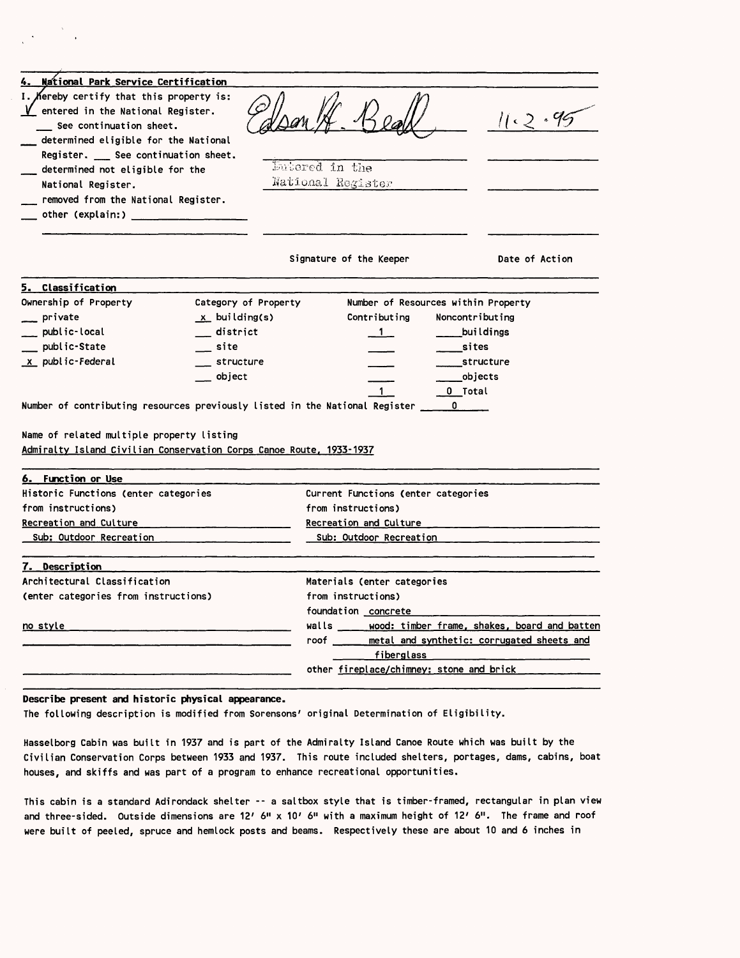| <u> 4. National Park Service Certification</u>                                |                      |                                                          |                                                       |  |
|-------------------------------------------------------------------------------|----------------------|----------------------------------------------------------|-------------------------------------------------------|--|
| I. Kereby certify that this property is:                                      |                      |                                                          |                                                       |  |
| $\overline{\phantom{a}}$ entered in the National Register.                    |                      |                                                          |                                                       |  |
| __ See continuation sheet.                                                    |                      |                                                          | 11.2.95                                               |  |
| determined eligible for the National                                          |                      |                                                          |                                                       |  |
| Register. __ See continuation sheet.                                          |                      |                                                          |                                                       |  |
| determined not eligible for the                                               |                      | Intered in the                                           |                                                       |  |
| National Register.                                                            |                      | National Register                                        |                                                       |  |
| removed from the National Register.                                           |                      |                                                          |                                                       |  |
|                                                                               |                      |                                                          |                                                       |  |
|                                                                               |                      |                                                          |                                                       |  |
|                                                                               |                      | Signature of the Keeper                                  | Date of Action                                        |  |
|                                                                               |                      |                                                          |                                                       |  |
| 5. Classification<br>Ownership of Property                                    | Category of Property |                                                          | Number of Resources within Property                   |  |
| __ private                                                                    | <u>x</u> building(s) | Contributing                                             | Noncontributing                                       |  |
| public-local                                                                  | district             | $\overline{1}$                                           | buildings                                             |  |
| public-State                                                                  | site                 |                                                          | sites                                                 |  |
| x public-Federal                                                              | $\_$ structure       |                                                          | structure                                             |  |
|                                                                               | object               |                                                          | ___objects                                            |  |
|                                                                               |                      |                                                          | 0 Total                                               |  |
| Number of contributing resources previously listed in the National Register _ |                      |                                                          | $\overline{0}$                                        |  |
|                                                                               |                      |                                                          |                                                       |  |
| Name of related multiple property listing                                     |                      |                                                          |                                                       |  |
| Admiralty Island Civilian Conservation Corps Canoe Route, 1933-1937           |                      |                                                          |                                                       |  |
|                                                                               |                      |                                                          |                                                       |  |
| 6. Function or Use                                                            |                      |                                                          |                                                       |  |
| Historic Functions (enter categories<br>Current Functions (enter categories   |                      |                                                          |                                                       |  |
| from instructions)                                                            |                      | from instructions)                                       |                                                       |  |
| Recreation and Culture                                                        |                      | Recreation and Culture                                   |                                                       |  |
| Sub: Outdoor Recreation                                                       |                      | Sub: Outdoor Recreation                                  |                                                       |  |
| 7. Description                                                                |                      |                                                          |                                                       |  |
| Architectural Classification                                                  |                      | Materials (enter categories                              |                                                       |  |
| (enter categories from instructions)                                          |                      | from instructions)                                       |                                                       |  |
|                                                                               |                      | foundation concrete                                      |                                                       |  |
| <u>no style j</u>                                                             |                      | walls _____ wood: timber frame, shakes, board and batten |                                                       |  |
|                                                                               |                      |                                                          | roof _____ metal and synthetic: corrugated sheets and |  |
|                                                                               |                      | fiberglass                                               |                                                       |  |
|                                                                               |                      | other fireplace/chimney: stone and brick                 |                                                       |  |
|                                                                               |                      |                                                          |                                                       |  |
| Describe present and historic physical appearance.                            |                      |                                                          |                                                       |  |

The following description is modified from Sorensons' original Determination of Eligibility.

Hasselborg Cabin was built in 1937 and is part of the Admiralty Island Canoe Route which was built by the Civilian Conservation Corps between 1933 and 1937. This route included shelters, portages, dams, cabins, boat houses, and skiffs and was part of a program to enhance recreational opportunities.

This cabin is a standard Adirondack shelter -- a saltbox style that is timber-framed, rectangular in plan view and three-sided. Outside dimensions are 12' 6" x 10' 6" with a maximum height of 12' 6". The frame and roof were built of peeled, spruce and hemlock posts and beams. Respectively these are about 10 and 6 inches in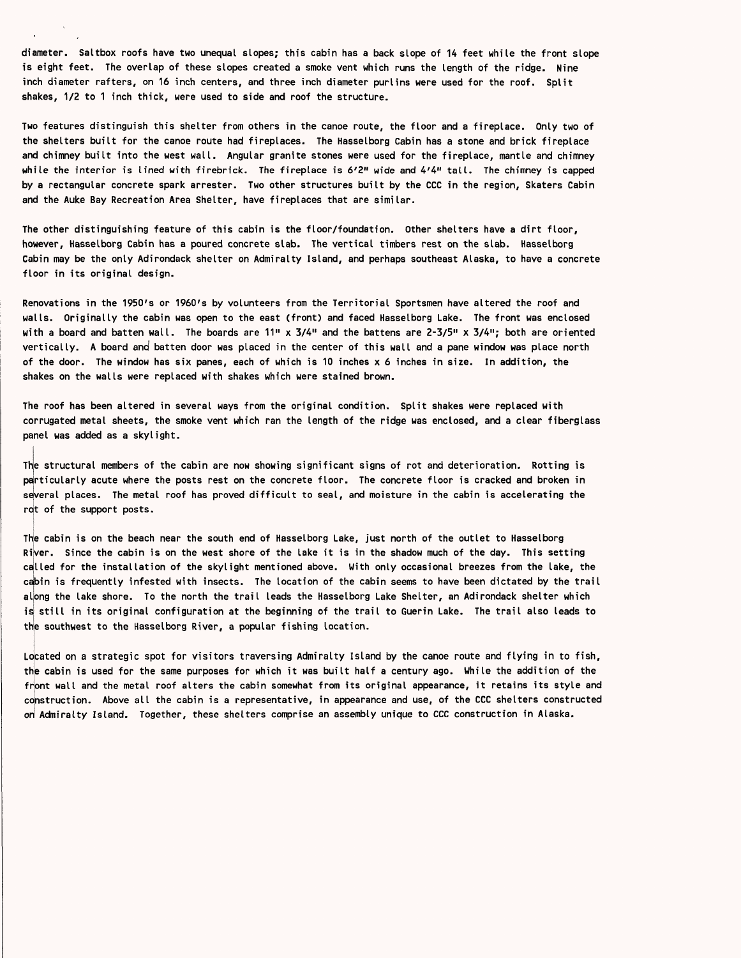diameter. Saltbox roofs have two unequal slopes; this cabin has a back slope of 14 feet while the front slope is eight feet. The overlap of these slopes created a smoke vent which runs the length of the ridge. Nine inch diameter rafters, on 16 inch centers, and three inch diameter purlins were used for the roof. Split shakes, 1/2 to 1 inch thick, were used to side and roof the structure.

Two features distinguish this shelter from others in the canoe route, the floor and a fireplace. Only two of the shelters built for the canoe route had fireplaces. The Hasselborg Cabin has a stone and brick fireplace and chimney built into the west wall. Angular granite stones were used for the fireplace, mantle and chimney while the interior is lined with firebrick. The fireplace is 6'2" wide and 4'4" tall. The chimney is capped by a rectangular concrete spark arrester. Two other structures built by the CCC in the region, Skaters Cabin and the Auke Bay Recreation Area Shelter, have fireplaces that are similar.

The other distinguishing feature of this cabin is the floor/foundation. Other shelters have a dirt floor, however, Hasselborg Cabin has a poured concrete slab. The vertical timbers rest on the slab. Hasselborg Cabin may be the only Adirondack shelter on Admiralty Island, and perhaps southeast Alaska, to have a concrete floor in its original design.

Renovations in the 1950's or 1960's by volunteers from the Territorial Sportsmen have altered the roof and walls. Originally the cabin was open to the east (front) and faced Hasselborg Lake. The front was enclosed with a board and batten wall. The boards are 11" x  $3/4$ " and the battens are 2-3/5" x  $3/4$ "; both are oriented vertically. A board and batten door was placed in the center of this wall and a pane window was place north of the door. The window has six panes, each of which is 10 inches x 6 inches in size. In addition, the shakes on the walls were replaced with shakes which were stained brown.

The roof has been altered in several ways from the original condition. Split shakes were replaced with corrugated metal sheets, the smoke vent which ran the length of the ridge was enclosed, and a clear fiberglass panel was added as a skylight.

The structural members of the cabin are now showing significant signs of rot and deterioration. Rotting is particularly acute where the posts rest on the concrete floor. The concrete floor is cracked and broken in several places. The metal roof has proved difficult to seal, and moisture in the cabin is accelerating the rot of the support posts.

The cabin is on the beach near the south end of Hasselborg Lake, just north of the outlet to Hasselborg River. Since the cabin is on the west shore of the lake it is in the shadow much of the day. This setting called for the installation of the skylight mentioned above. With only occasional breezes from the lake, the cabin is frequently infested with insects. The location of the cabin seems to have been dictated by the trail along the lake shore. To the north the trail leads the Hasselborg Lake Shelter, an Adirondack shelter which is still in its original configuration at the beginning of the trail to Guerin Lake. The trail also leads to the southwest to the Hasselborg River, a popular fishing location.

Located on a strategic spot for visitors traversing Admiralty Island by the canoe route and flying in to fish, the cabin is used for the same purposes for which it was built half a century ago. While the addition of the front wall and the metal roof alters the cabin somewhat from its original appearance, it retains its style and construction. Above all the cabin is a representative, in appearance and use, of the CCC shelters constructed on Admiralty Island. Together, these shelters comprise an assembly unique to CCC construction in Alaska.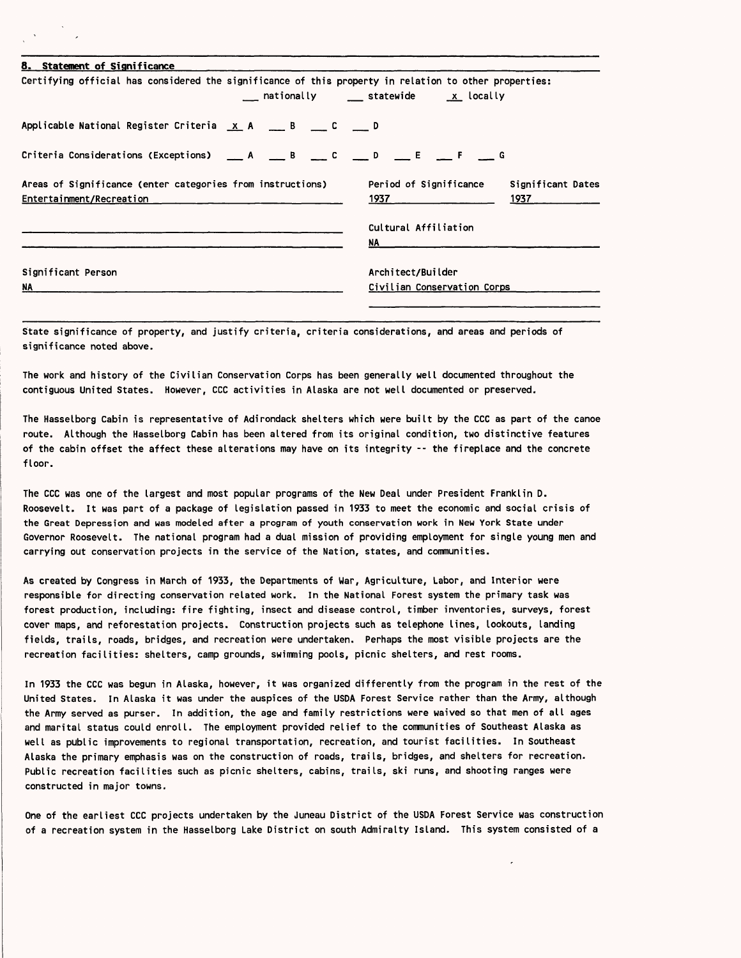| 8. Statement of Significance                                                                          |                                |                                  |
|-------------------------------------------------------------------------------------------------------|--------------------------------|----------------------------------|
| Certifying official has considered the significance of this property in relation to other properties: | nationally statewide x locally |                                  |
| Applicable National Register Criteria $X \wedge X = B$ __ C __ D                                      |                                |                                  |
| Criteria Considerations (Exceptions) $A = B = C = D = E = F = G$                                      |                                |                                  |
| Areas of Significance (enter categories from instructions)<br>Entertainment/Recreation                | Period of Significance<br>1937 | Significant Dates<br>1937 — 1937 |
|                                                                                                       | Cultural Affiliation<br>NA     |                                  |
| Significant Person                                                                                    | Architect/Builder              |                                  |
| NA                                                                                                    | Civilian Conservation Corps    |                                  |

State significance of property, and justify criteria, criteria considerations, and areas and periods of significance noted above.

The work and history of the Civilian Conservation Corps has been generally well documented throughout the contiguous United States. However, CCC activities in Alaska are not well documented or preserved.

The Hasselborg Cabin is representative of Adirondack shelters which were built by the CCC as part of the canoe route. Although the Hasselborg Cabin has been altered from its original condition, two distinctive features of the cabin offset the affect these alterations may have on its integrity -- the fireplace and the concrete floor.

The CCC was one of the largest and most popular programs of the New Deal under President Franklin D. Roosevelt. It was part of a package of legislation passed in 1933 to meet the economic and social crisis of the Great Depression and was modeled after a program of youth conservation work in New York State under Governor Roosevelt. The national program had a dual mission of providing employment for single young men and carrying out conservation projects in the service of the Nation, states, and communities.

As created by Congress in March of 1933, the Departments of War, Agriculture, Labor, and Interior were responsible for directing conservation related work. In the National Forest system the primary task was forest production, including: fire fighting, insect and disease control, timber inventories, surveys, forest cover maps, and reforestation projects. Construction projects such as telephone lines, lookouts, landing fields, trails, roads, bridges, and recreation were undertaken. Perhaps the most visible projects are the recreation facilities: shelters, camp grounds, swimming pools, picnic shelters, and rest rooms.

In 1933 the CCC was begun in Alaska, however, it was organized differently from the program in the rest of the United States. In Alaska it was under the auspices of the USDA Forest Service rather than the Army, although the Army served as purser. In addition, the age and family restrictions were waived so that men of all ages and marital status could enroll. The employment provided relief to the communities of Southeast Alaska as well as public improvements to regional transportation, recreation, and tourist facilities. In Southeast Alaska the primary emphasis was on the construction of roads, trails, bridges, and shelters for recreation. Public recreation facilities such as picnic shelters, cabins, trails, ski runs, and shooting ranges were constructed in major towns.

One of the earliest CCC projects undertaken by the Juneau District of the USDA Forest Service was construction of a recreation system in the Hasselborg Lake District on south Admiralty Island. This system consisted of a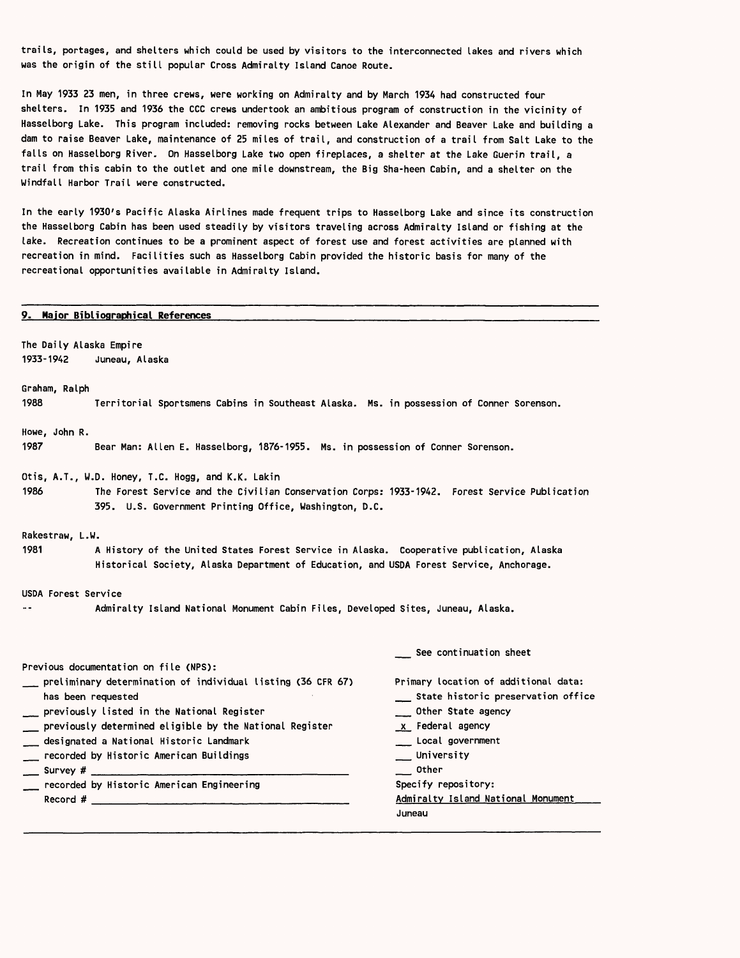trails, portages, and shelters which could be used by visitors to the interconnected lakes and rivers which was the origin of the still popular Cross Admiralty Island Canoe Route.

In May 1933 23 men, in three crews, were working on Admiralty and by March 1934 had constructed four shelters. In 1935 and 1936 the CCC crews undertook an ambitious program of construction in the vicinity of Hasselborg Lake. This program included: removing rocks between Lake Alexander and Beaver Lake and building a dam to raise Beaver Lake, maintenance of 25 miles of trail, and construction of a trail from Salt Lake to the falls on Hasselborg River. On Hasselborg Lake two open fireplaces, a shelter at the Lake Guerin trail, a trail from this cabin to the outlet and one mile downstream, the Big Sha-heen Cabin, and a shelter on the Windfall Harbor Trail were constructed.

In the early 1930's Pacific Alaska Airlines made frequent trips to Hasselborg Lake and since its construction the Hasselborg Cabin has been used steadily by visitors traveling across Admiralty Island or fishing at the lake. Recreation continues to be a prominent aspect of forest use and forest activities are planned with recreation in mind. Facilities such as Hasselborg Cabin provided the historic basis for many of the recreational opportunities available in Admiralty Island.

## 9. Major Bibliographical References

The Daily Alaska Empire 1933-1942 Juneau, Alaska Graham, Ralph 1988 Territorial Sportsmens Cabins in Southeast Alaska. Ms. in possession of Conner Sorenson. Howe, John R. 1987 Bear Man: Alien E. Hasselborg, 1876-1955. Ms. in possession of Conner Sorenson. Otis, A.T., W.D. Honey, T.C. Hogg, and K.K. Lakin 1986 The Forest Service and the Civilian Conservation Corps: 1933-1942. Forest Service Publication 395. U.S. Government Printing Office, Washington, D.C. Rakestraw, L.W. 1981 A History of the United States Forest Service in Alaska. Cooperative publication, Alaska Historical Society, Alaska Department of Education, and USDA Forest Service, Anchorage. USDA Forest Service Admiralty Island National Monument Cabin Files, Developed Sites, Juneau, Alaska. \_\_ See continuation sheet Previous documentation on file (NPS): \_\_ preliminary determination of individual listing (36 CFR 67) Primary location of additional data: has been requested **has been requested the state in the state of the state** state historic preservation office \_ previously listed in the National Register \_\_ Other State agency \_ previously determined eligible by the National Register x Federal agency \_\_\_ designated a National Historic Landmark \_\_\_ Local gover<br>\_\_\_ recorded by Historic American Buildings \_\_\_ University \_ recorded by Historic American Buildings \_ University  $\frac{1}{\sqrt{2}}$  Survey # \_ recorded by Historic American Engineering Specify repository: Admiralty Island National Monument Juneau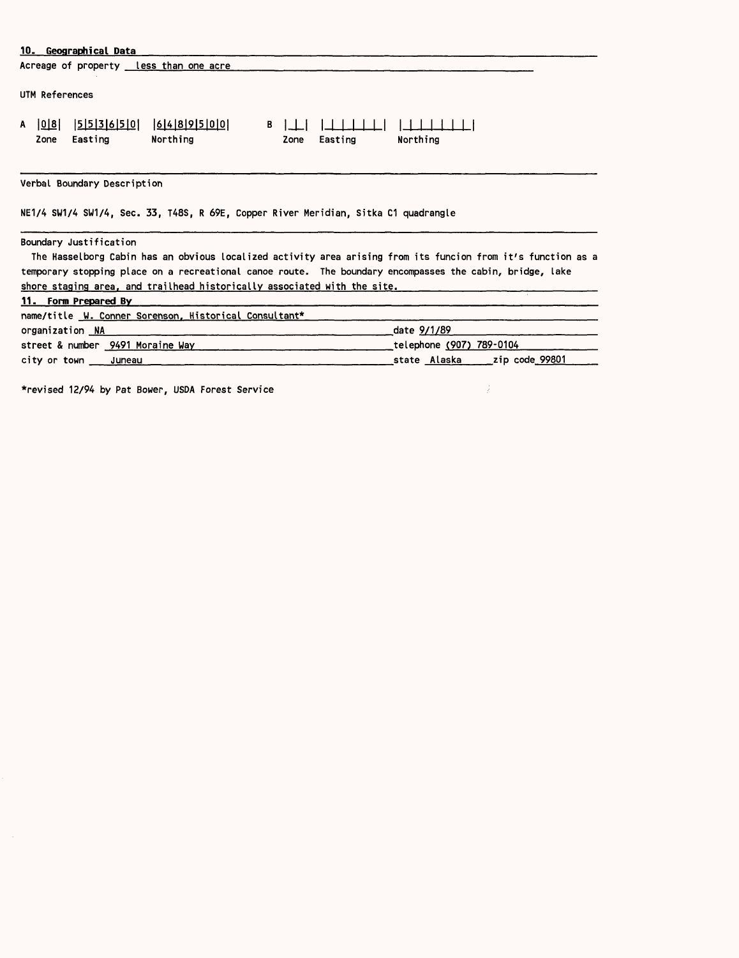| 10. Geographical Data                                                                                              |  |  |  |  |  |
|--------------------------------------------------------------------------------------------------------------------|--|--|--|--|--|
| Acreage of property less than one acre                                                                             |  |  |  |  |  |
| UTM References                                                                                                     |  |  |  |  |  |
| 6 4 8 9 5 0 0 <br> 5 5 3 6 5 0 <br> 0 8 <br>A<br>В<br>Easting<br>Northing<br>Northing<br>Easting<br>Zone<br>Zone   |  |  |  |  |  |
| Verbal Boundary Description<br>NE1/4 SW1/4 SW1/4, Sec. 33, T48S, R 69E, Copper River Meridian, Sitka C1 quadrangle |  |  |  |  |  |
| Boundary Justification                                                                                             |  |  |  |  |  |
| The Hasselborg Cabin has an obvious localized activity area arising from its funcion from it's function as a       |  |  |  |  |  |
| temporary stopping place on a recreational canoe route. The boundary encompasses the cabin, bridge, lake           |  |  |  |  |  |
| shore staging area, and trailhead historically associated with the site.                                           |  |  |  |  |  |
| 11. Form Prepared By                                                                                               |  |  |  |  |  |
| name/title W. Conner Sorenson, Historical Consultant*                                                              |  |  |  |  |  |
| date 9/1/89<br>organization NA                                                                                     |  |  |  |  |  |
| telephone <u>(907) 789-0104</u><br>street & number 9491 Moraine Way                                                |  |  |  |  |  |
| state Alaska zip code 99801<br>city or town<br>Juneau                                                              |  |  |  |  |  |

 $\label{eq:2} \frac{1}{2} \int_{\mathbb{R}^3} \left| \frac{d\mathbf{x}}{d\mathbf{x}} \right|^2 \, d\mathbf{x} \, d\mathbf{x} \, d\mathbf{x} \, d\mathbf{x} \, d\mathbf{x} \, d\mathbf{x} \, d\mathbf{x} \, d\mathbf{x} \, d\mathbf{x} \, d\mathbf{x} \, d\mathbf{x} \, d\mathbf{x} \, d\mathbf{x} \, d\mathbf{x} \, d\mathbf{x} \, d\mathbf{x} \, d\mathbf{x} \, d\mathbf{x} \, d\mathbf{x} \, d\mathbf{x} \, d\mathbf{x} \, d$ 

"revised 12/94 by Pat Bower, USDA Forest Service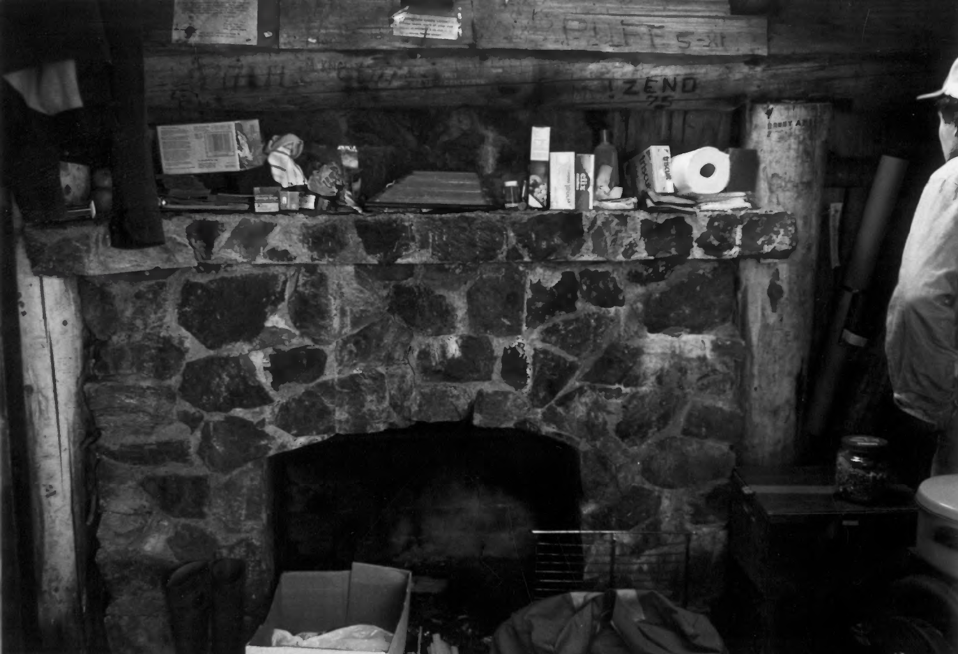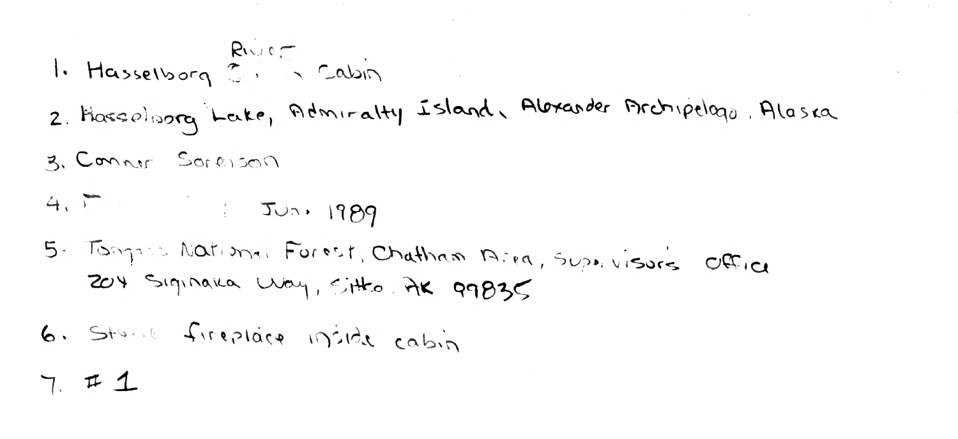- I. Hasselborg 2. 5 Cabin 2. Hasselborg Lake, Admiralty Island, Alexander Archipelago, Alaska 3. Conner Soreison  $4.7$   $300 - 1989$ 5. Tongass National Forest, Chatham Mara, Supervisors Office 204 Siginalea Way, Sitto AK 99835
- 6. Starle fireplace inside cabin
- $7.71$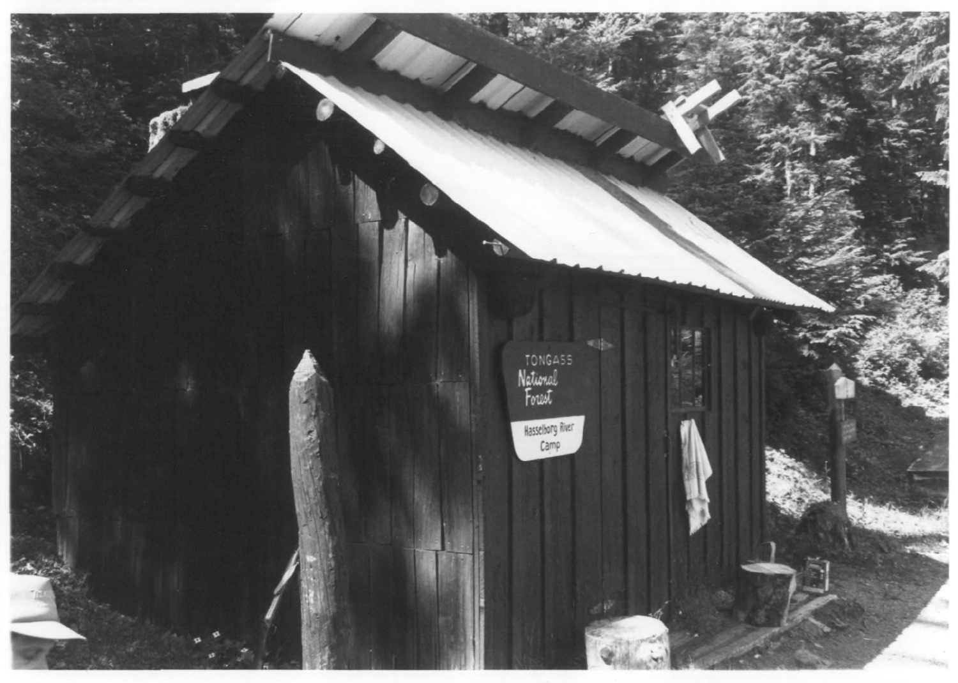